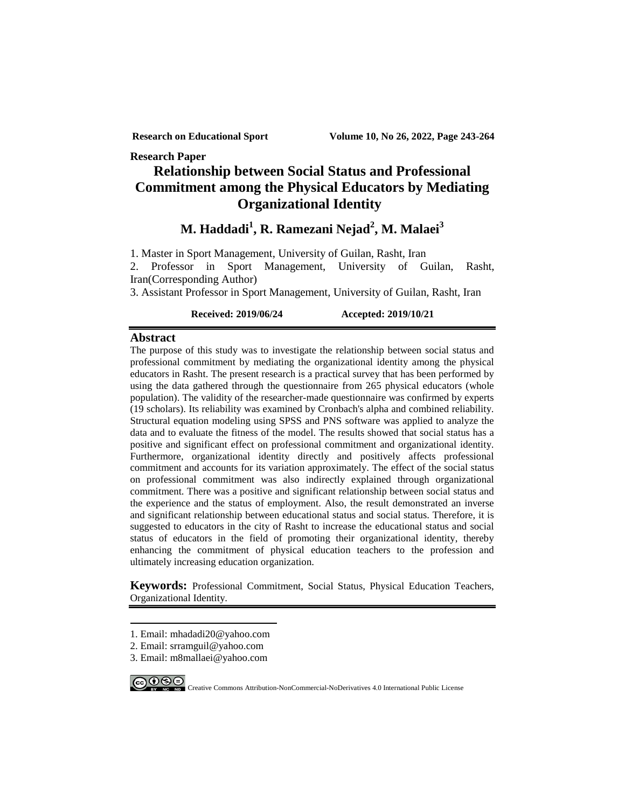**Research Paper**

# **Relationship between Social Status and Professional Commitment among the Physical Educators by Mediating Organizational Identity**

**M. Haddadi1 , R. Ramezani Nejad<sup>2</sup> , M. Malaei<sup>3</sup>**

1. Master in Sport Management, University of Guilan, Rasht, Iran

2. Professor in Sport Management, University of Guilan, Rasht, Iran(Corresponding Author)

3. Assistant Professor in Sport Management, University of Guilan, Rasht, Iran

**Received: 2019/06/24 Accepted: 2019/10/21**

## **Abstract**

The purpose of this study was to investigate the relationship between social status and professional commitment by mediating the organizational identity among the physical educators in Rasht. The present research is a practical survey that has been performed by using the data gathered through the questionnaire from 265 physical educators (whole population). The validity of the researcher-made questionnaire was confirmed by experts (19 scholars). Its reliability was examined by Cronbach's alpha and combined reliability. Structural equation modeling using SPSS and PNS software was applied to analyze the data and to evaluate the fitness of the model. The results showed that social status has a positive and significant effect on professional commitment and organizational identity. Furthermore, organizational identity directly and positively affects professional commitment and accounts for its variation approximately. The effect of the social status on professional commitment was also indirectly explained through organizational commitment. There was a positive and significant relationship between social status and the experience and the status of employment. Also, the result demonstrated an inverse and significant relationship between educational status and social status. Therefore, it is suggested to educators in the city of Rasht to increase the educational status and social status of educators in the field of promoting their organizational identity, thereby enhancing the commitment of physical education teachers to the profession and ultimately increasing education organization.

**Keywords:** Professional Commitment, Social Status, Physical Education Teachers, Organizational Identity.

- 1. Email: mhadadi20@yahoo.com
- <span id="page-0-0"></span>2. Email: srramguil@yahoo.com
- 3. Email: m8mallaei@yahoo.com



-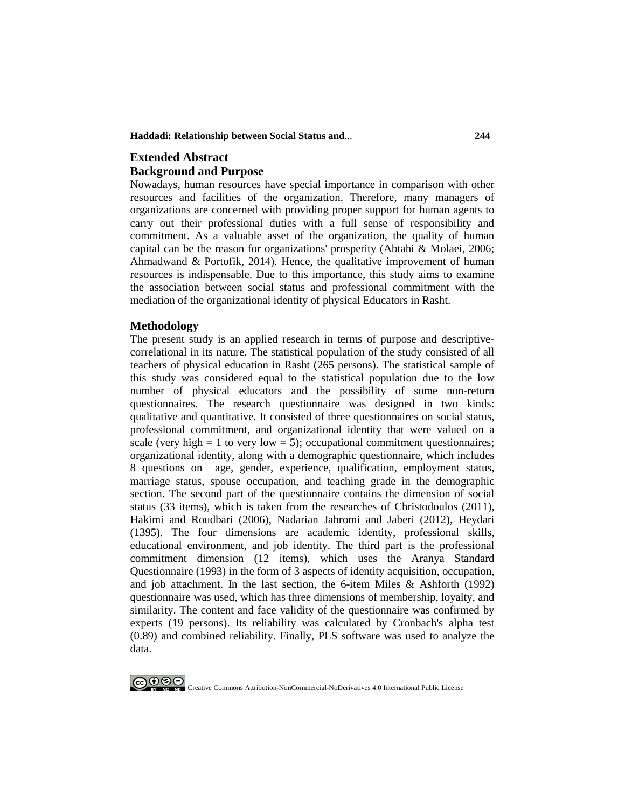**Haddadi: Relationship between Social Status and**... **244**

## **Extended Abstract Background and Purpose**

Nowadays, human resources have special importance in comparison with other resources and facilities of the organization. Therefore, many managers of organizations are concerned with providing proper support for human agents to carry out their professional duties with a full sense of responsibility and commitment. As a valuable asset of the organization, the quality of human capital can be the reason for organizations' prosperity (Abtahi & Molaei, 2006; Ahmadwand & Portofik, 2014). Hence, the qualitative improvement of human resources is indispensable. Due to this importance, this study aims to examine the association between social status and professional commitment with the mediation of the organizational identity of physical Educators in Rasht.

## **Methodology**

The present study is an applied research in terms of purpose and descriptivecorrelational in its nature. The statistical population of the study consisted of all teachers of physical education in Rasht (265 persons). The statistical sample of this study was considered equal to the statistical population due to the low number of physical educators and the possibility of some non-return questionnaires. The research questionnaire was designed in two kinds: qualitative and quantitative. It consisted of three questionnaires on social status, professional commitment, and organizational identity that were valued on a scale (very high  $= 1$  to very low  $= 5$ ); occupational commitment questionnaires; organizational identity, along with a demographic questionnaire, which includes 8 questions on age, gender, experience, qualification, employment status, marriage status, spouse occupation, and teaching grade in the demographic section. The second part of the questionnaire contains the dimension of social status (33 items), which is taken from the researches of Christodoulos (2011), Hakimi and Roudbari (2006), Nadarian Jahromi and Jaberi (2012), Heydari (1395). The four dimensions are academic identity, professional skills, educational environment, and job identity. The third part is the professional commitment dimension (12 items), which uses the Aranya Standard Questionnaire (1993) in the form of 3 aspects of identity acquisition, occupation, and job attachment. In the last section, the 6-item Miles  $\&$  Ashforth (1992) questionnaire was used, which has three dimensions of membership, loyalty, and similarity. The content and face validity of the questionnaire was confirmed by experts (19 persons). Its reliability was calculated by Cronbach's alpha test (0.89) and combined reliability. Finally, PLS software was used to analyze the data.

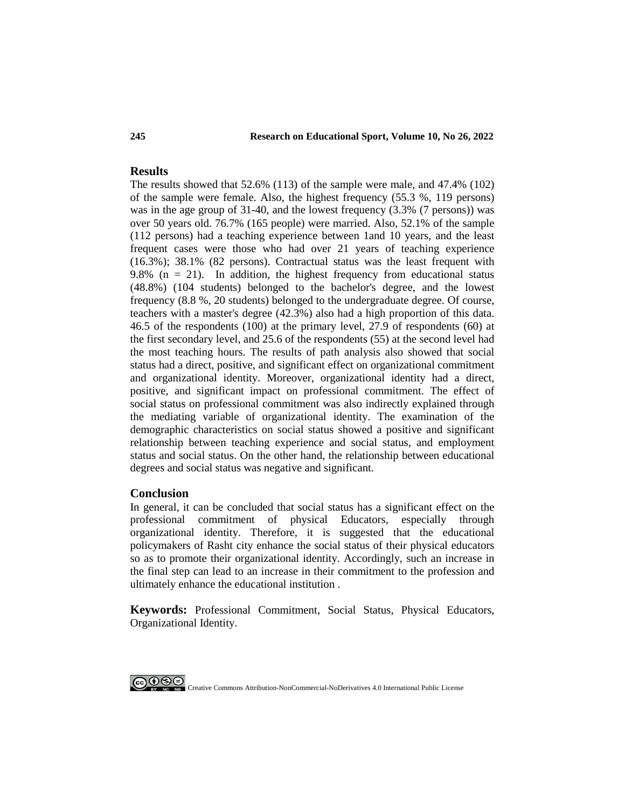### **245 Research on Educational Sport, Volume 10, No 26, 2022**

## **Results**

The results showed that 52.6% (113) of the sample were male, and 47.4% (102) of the sample were female. Also, the highest frequency (55.3 %, 119 persons) was in the age group of 31-40, and the lowest frequency (3.3% (7 persons)) was over 50 years old. 76.7% (165 people) were married. Also, 52.1% of the sample (112 persons) had a teaching experience between 1and 10 years, and the least frequent cases were those who had over 21 years of teaching experience (16.3%); 38.1% (82 persons). Contractual status was the least frequent with 9.8% ( $n = 21$ ). In addition, the highest frequency from educational status (48.8%) (104 students) belonged to the bachelor's degree, and the lowest frequency (8.8 %, 20 students) belonged to the undergraduate degree. Of course, teachers with a master's degree (42.3%) also had a high proportion of this data. 46.5 of the respondents (100) at the primary level, 27.9 of respondents (60) at the first secondary level, and 25.6 of the respondents (55) at the second level had the most teaching hours. The results of path analysis also showed that social status had a direct, positive, and significant effect on organizational commitment and organizational identity. Moreover, organizational identity had a direct, positive, and significant impact on professional commitment. The effect of social status on professional commitment was also indirectly explained through the mediating variable of organizational identity. The examination of the demographic characteristics on social status showed a positive and significant relationship between teaching experience and social status, and employment status and social status. On the other hand, the relationship between educational degrees and social status was negative and significant.

## **Conclusion**

In general, it can be concluded that social status has a significant effect on the professional commitment of physical Educators, especially through organizational identity. Therefore, it is suggested that the educational policymakers of Rasht city enhance the social status of their physical educators so as to promote their organizational identity. Accordingly, such an increase in the final step can lead to an increase in their commitment to the profession and ultimately enhance the educational institution .

**Keywords:** Professional Commitment, Social Status, Physical Educators, Organizational Identity.

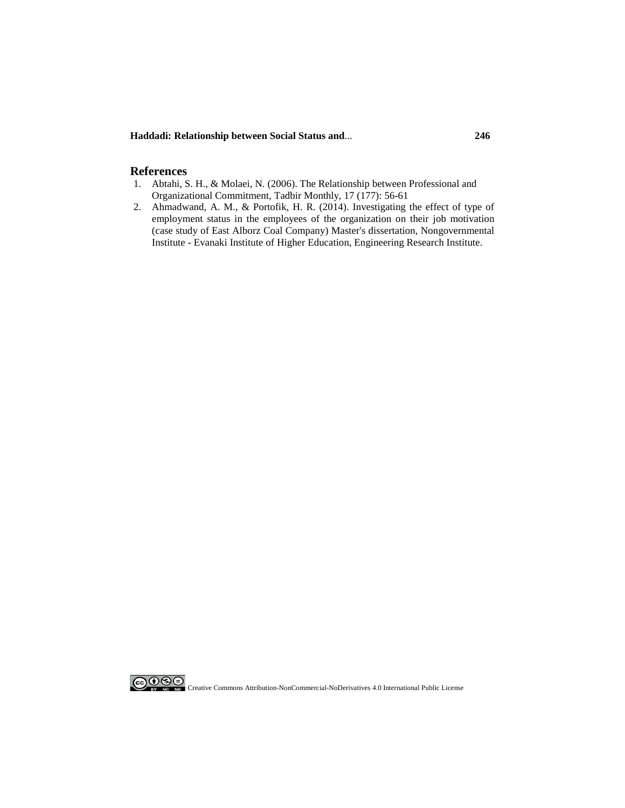**Haddadi: Relationship between Social Status and**... **246**

### **References**

- 1. Abtahi, S. H., & Molaei, N. (2006). The Relationship between Professional and Organizational Commitment, Tadbir Monthly, 17 (177): 56-61
- 2. Ahmadwand, A. M., & Portofik, H. R. (2014). Investigating the effect of type of employment status in the employees of the organization on their job motivation (case study of East Alborz Coal Company) Master's dissertation, Nongovernmental Institute - Evanaki Institute of Higher Education, Engineering Research Institute.

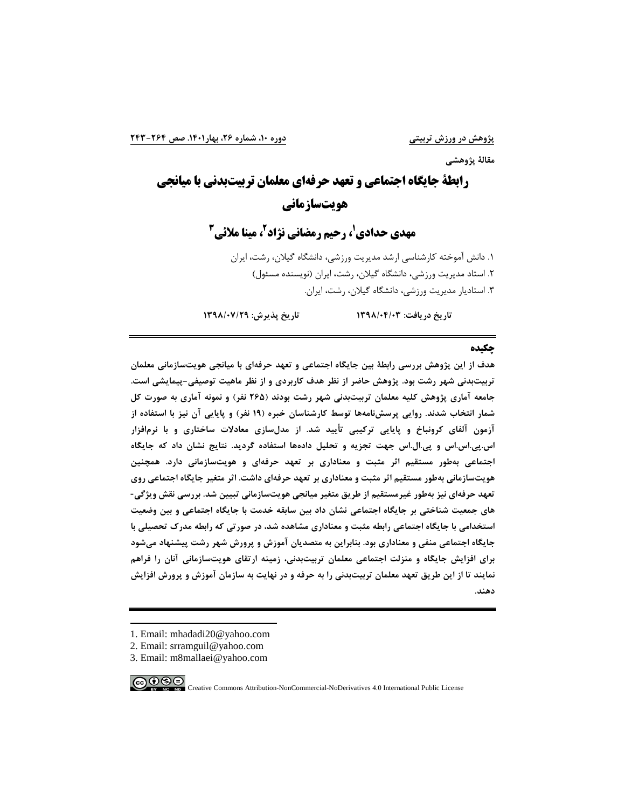**مقالۀ پژوهشی**

**رابطۀ جایگاه اجتماعی و تعهد حرفهاي معلمان تربیتبدنی با میانجی 1 هویتسا[ز](#page-4-0)مانی**

**3 ، مینا ملائی <sup>2</sup> ، رحیم رمضانی نژاد <sup>1</sup> مهدي حدادي**

.1 دانش آموخته کارشناسی ارشد مدیریت ورزشی، دانشگاه گیلان، رشت، ایران .2 استاد مدیریت ورزشی، دانشگاه گیلان، رشت، ایران (نویسنده مسئول) .3 استادیار مدیریت ورزشی، دانشگاه گیلان، رشت، ایران.

**تاریخ دریافت: 1398/04/03 تاریخ پذیرش: 1398/07/29**

#### **چکیده**

**هدف از این پژوهش بررسی رابطۀ بین جایگاه اجتماعی و تعهد حرفهاي با میانجی هویتسازمانی معلمان تربیتبدنی شهر رشت بود. پژوهش حاضر از نظر هدف کاربردي و از نظر ماهیت توصیفی-پیمایشی است. جامعه آماري پژوهش کلیه معلمان تربیتبدنی شهر رشت بودند (265 نفر) و نمونه آماري به صورت کل شمار انتخاب شدند. روایی پرسشنامهها توسط کارشناسان خبره (19 نفر) و پایایی آن نیز با استفاده از آزمون آلفاي کرونباخ و پایایی ترکیبی تأیید شد. از مدلسازي معادلات ساختاري و با نرمافزار اس.پی.اس.اس و پی.ال.اس جهت تجزیه و تحلیل دادهها استفاده گردید. نتایج نشان داد که جایگاه اجتماعی بهطور مستقیم اثر مثبت و معناداري بر تعهد حرفهاي و هویتسازمانی دارد. همچنین هویتسازمانی بهطور مستقیم اثر مثبت و معناداري بر تعهد حرفهاي داشت. اثر متغیر جایگاه اجتماعی روي تعهد حرفهاي نیز بهطور غیرمستقیم از طریق متغیر میانجی هویتسازمانی تبیین شد. بررسی نقش ویژگی- هاي جمعیت شناختی بر جایگاه اجتماعی نشان داد بین سابقه خدمت با جایگاه اجتماعی و بین وضعیت استخدامی با جایگاه اجتماعی رابطه مثبت و معناداري مشاهده شد، در صورتی که رابطه مدرك تحصیلی با جایگاه اجتماعی منفی و معناداري بود. بنابراین به متصدیان آموزش و پرورش شهر رشت پیشنهاد میشود براي افزایش جایگاه و منزلت اجتماعی معلمان تربیتبدنی، زمینه ارتقاي هویتسازمانی آنان را فراهم نمایند تا از این طریق تعهد معلمان تربیتبدنی را به حرفه و در نهایت به سازمان آموزش و پرورش افزایش دهند.**

- <span id="page-4-0"></span>1. Email: mhadadi20@yahoo.com
- 2. Email: srramguil@yahoo.com
- 3. Email: m8mallaei@yahoo.com

ெ⊕ை

-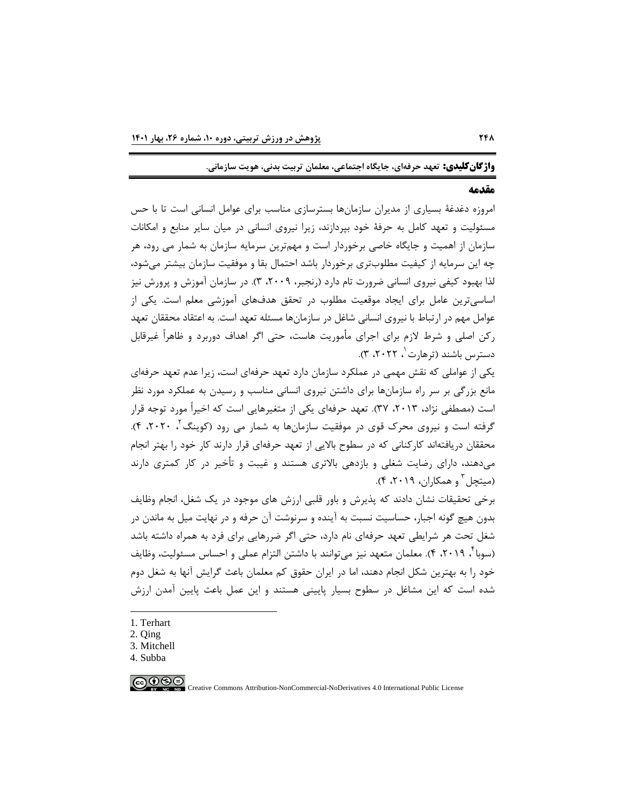**واژگانکلیدي: تعهد حرفهاي، جایگاه اجتماعی، معلمان تربیت بدنی، هویت سازمانی.**

### **مقدمه**

امروزه دغدغۀ بسیاري از مدیران سازمانها بسترسازي مناسب براي عوامل انسانی است تا با حس مسئولیت و تعهد کامل به حرفۀ خود بپردازند، زیرا نیروي انسانی در میان سایر منابع و امکانات سازمان از اهمیت و جایگاه خاصی برخوردار است و مهمترین سرمایه سازمان به شمار می رود، هر چه این سرمایه از کیفیت مطلوبتري برخوردار باشد احتمال بقا و موفقیت سازمان بیشتر میشود، لذا بهبود کیفی نیروي انسانی ضرورت تام دارد (رنجبر، ،2009 3). در سازمان آموزش و پرورش نیز اساسیترین عامل براي ایجاد موقعیت مطلوب در تحقق هدفهاي آموزشی معلم است. یکی از عوامل مهم در ارتباط با نیروي انسانی شاغل در سازمانها مسئله تعهد است. به اعتقاد محققان تعهد رکن اصلی و شرط لازم براي اجراي مأموریت هاست، حتی اگر اهداف دوربرد و ظاهراً غیرقابل دسترس باشند (ترهارت <sup>۱</sup>، ۲۰۲۲، ۳).

یکی از عواملی که نقش مهمی در عملکرد سازمان دارد تعهد حرفهاي است، زیرا عدم تعهد حرفهاي مانع بزرگی بر سر راه سازمانها براي داشتن نیروي انسانی مناسب و رسیدن به عملکرد مورد نظر است (مصطفی نژاد، ۲۰۱۳، ۳۷). تعهد حرفهای یکی از متغیرهایی است که اخیراً مورد توجه قرار گرفته است و نیروی محرک قوی در موفقیت سازمانها به شمار می رود (کوینگ<sup>۲</sup> ۲۰۲۰، ۴). محققان دریافتهاند کارکنانی که در سطوح بالایی از تعهد حرفهاي قرار دارند کار خود را بهتر انجام میدهند، داراي رضایت شغلی و بازدهی بالاتري هستند و غیبت و تأخیر در کار کمتري دارند  $(5.7 \cdot 19)$  (میتچل  $(5.7 \cdot 19)$ 

برخی تحقیقات نشان دادند که پذیرش و باور قلبی ارزش هاي موجود در یک شغل، انجام وظایف بدون هیچ گونه اجبار، حساسیت نسبت به آینده و سرنوشت آن حرفه و در نهایت میل به ماندن در شغل تحت هر شرایطی تعهد حرفهاي نام دارد، حتی اگر ضررهایی براي فرد به همراه داشته باشد (سوبا ٔ، ۲۰۱۹، ۴). معلمان متعهد نیز می توانند با داشتن التزام عملی و احساس مسئولیت، وظایف خود را به بهترین شکل انجام دهند، اما در ایران حقوق کم معلمان باعث گرایش آنها به شغل دوم شده است که این مشاغل در سطوح بسیار پایینی هستند و این عمل باعث پایین آمدن ارزش

-

<span id="page-5-3"></span><span id="page-5-2"></span><sup>4.</sup> Subba



<span id="page-5-0"></span>[<sup>1.</sup>](#page-5-3) Terhart

<span id="page-5-1"></span><sup>2.</sup> Qing

<sup>3.</sup> Mitchell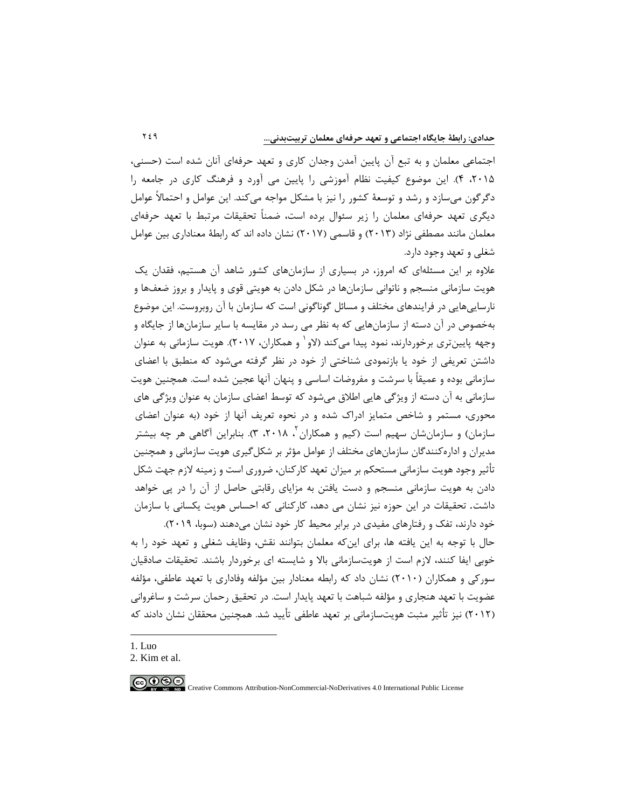اجتماعی معلمان و به تبع آن پایین آمدن وجدان کاري و تعهد حرفهاي آنان شده است (حسنی، ،2015 4). این موضوع کیفیت نظام آموزشی را پایین می آورد و فرهنگ کاري در جامعه را دگرگون میسازد و رشد و توسعۀ کشور را نیز با مشکل مواجه میکند. این عوامل و احتمالاً عوامل دیگري تعهد حرفهاي معلمان را زیر سئوال برده است، ضمناً تحقیقات مرتبط با تعهد حرفهاي معلمان مانند مصطفی نژاد (2013) و قاسمی (2017) نشان داده اند که رابطۀ معناداري بین عوامل شغلی و تعهد وجود دارد.

علاوه بر این مسئلهاي که امروز، در بسیاري از سازمانهاي کشور شاهد آن هستیم، فقدان یک هویت سازمانی منسجم و ناتوانی سازمانها در شکل دادن به هویتی قوي و پایدار و بروز ضعفها و نارساییهایی در فرایندهاي مختلف و مسائل گوناگونی است که سازمان با آن روبروست. این موضوع بهخصوص در آن دسته از سازمانهایی که به نظر می رسد در مقایسه با سایر سازمانها از جایگاه و وجهه پایینتري برخوردارند، نمود پیدا میکند (لاو و همکاران، 2017). هویت سازمانی به عنوان [1](#page-6-0) داشتن تعریفی از خود یا بازنمودي شناختی از خود در نظر گرفته میشود که منطبق با اعضاي سازمانی بوده و عمیقاً با سرشت و مفروضات اساسی و پنهان آنها عجین شده است. همچنین هویت سازمانی به آن دسته از ویژگی هایی اطلاق میشود که توسط اعضاي سازمان به عنوان ویژگی هاي محوري، مستمر و شاخص متمایز ادراك شده و در نحوه تعریف آنها از خود (به عنوان اعضاي سازمان) و سازمان شان سهیم است (کیم و همکاران <sup>۲</sup>، ۲۰۱۸، ۳). بنابراین آگاهی هر چه بیشتر مدیران و ادارهکنندگان سازمانهاي مختلف از عوامل مؤثر بر شکلگیري هویت سازمانی و همچنین تأثیر وجود هویت سازمانی مستحکم بر میزان تعهد کارکنان، ضروري است و زمینه لازم جهت شکل دادن به هویت سازمانی منسجم و دست یافتن به مزایاي رقابتی حاصل از آن را در پی خواهد داشت. تحقیقات در این حوزه نیز نشان می دهد، کارکنانی که احساس هویت یکسانی با سازمان خود دارند، تفک و رفتارهاي مفیدي در برابر محیط کار خود نشان میدهند (سوبا، 2019).

حال با توجه به این یافته ها، براي اینکه معلمان بتوانند نقش، وظایف شغلی و تعهد خود را به خوبی ایفا کنند، لازم است از هویتسازمانی بالا و شایسته اي برخوردار باشند. تحقیقات صادقیان سورکی و همکاران (2010) نشان داد که رابطه معنادار بین مؤلفه وفاداري با تعهد عاطفی، مؤلفه عضویت با تعهد هنجاري و مؤلفه شباهت با تعهد پایدار است. در تحقیق رحمان سرشت و ساغروانی (2012) نیز تأثیر مثبت هویتسازمانی بر تعهد عاطفی تأیید شد. همچنین محققان نشان دادند که

1. Luo

-

<span id="page-6-1"></span><span id="page-6-0"></span><sup>2.</sup> Kim et al.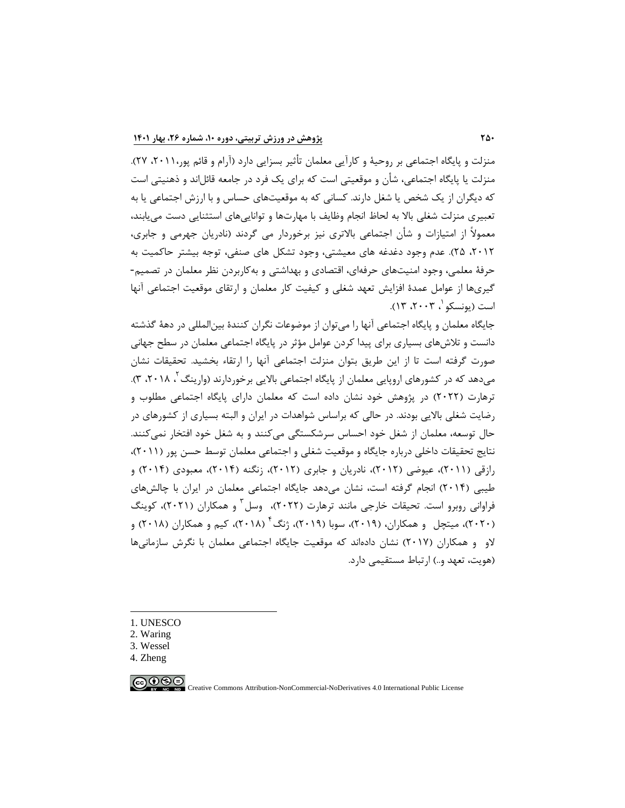منزلت و پایگاه اجتماعی بر روحیۀ و کارآیی معلمان تأثیر بسزایی دارد (آرام و قائم پور،2011، 27). منزلت یا پایگاه اجتماعی، شأن و موقعیتی است که براي یک فرد در جامعه قائلاند و ذهنیتی است که دیگران از یک شخص یا شغل دارند. کسانی که به موقعیتهاي حساس و با ارزش اجتماعی یا به تعبیري منزلت شغلی بالا به لحاظ انجام وظایف با مهارتها و تواناییهاي استثنایی دست مییابند، معمولاً از امتیازات و شأن اجتماعی بالاتري نیز برخوردار می گردند (نادریان جهرمی و جابري، ،2012 25). عدم وجود دغدغه هاي معیشتی، وجود تشکل هاي صنفی، توجه بیشتر حاکمیت به حرفۀ معلمی، وجود امنیتهاي حرفهاي، اقتصادي و بهداشتی و بهکاربردن نظر معلمان در تصمیم- گیريها از عوامل عمدة افزایش تعهد شغلی و کیفیت کار معلمان و ارتقاي موقعیت اجتماعی آنها است (یونسکو '، ۲۰۰۳، ۱۳).

جایگاه معلمان و پایگاه اجتماعی آنها را میتوان از موضوعات نگران کنندة بینالمللی در دهۀ گذشته دانست و تلاشهاي بسیاري براي پیدا کردن عوامل مؤثر در پایگاه اجتماعی معلمان در سطح جهانی صورت گرفته است تا از این طریق بتوان منزلت اجتماعی آنها را ارتقاء بخشید. تحقیقات نشان میدهد که در کشورهای اروپایی معلمان از پایگاه اجتماعی بالایی برخوردارند (وارینگ <sup>۲</sup>، ۲۰۱۸، ۳). ترهارت (2022) در پژوهش خود نشان داده است که معلمان داراي پایگاه اجتماعی مطلوب و رضایت شغلی بالایی بودند. در حالی که براساس شواهدات در ایران و البته بسیاري از کشورهاي در حال توسعه، معلمان از شغل خود احساس سرشکستگی میکنند و به شغل خود افتخار نمیکنند. نتایج تحقیقات داخلی درباره جایگاه و موقعیت شغلی و اجتماعی معلمان توسط حسن پور (2011)، رازقی (2011)، عیوضی (2012)، نادریان و جابري (2012)، زنگنه (2014)، معبودي (2014) و طیبی (2014) انجام گرفته است، نشان میدهد جایگاه اجتماعی معلمان در ایران با چالشهاي فراوانی روبرو است. تحیقات خارجی مانند ترهارت (٢٠٢٢)، وسل ؓ و همکاران (٢٠٢١)، کوینگ (۲۰۲۰)، میتچل و همکاران، (۲۰۱۹)، سوبا (۲۰۱۹)، ژنگ<sup>۴</sup> (۲۰۱۸)، کیم و همکاران (۲۰۱۸) و لاو و همکاران (2017) نشان دادهاند که موقعیت جایگاه اجتماعی معلمان با نگرش سازمانیها (هویت، تعهد و..) ارتباط مستقیمی دارد.

<span id="page-7-0"></span>1. UNESCO

-

- <span id="page-7-1"></span>2. Waring
- <span id="page-7-2"></span>3. Wessel
- <span id="page-7-3"></span>4. Zheng

 $\bigcirc$   $\bigcirc$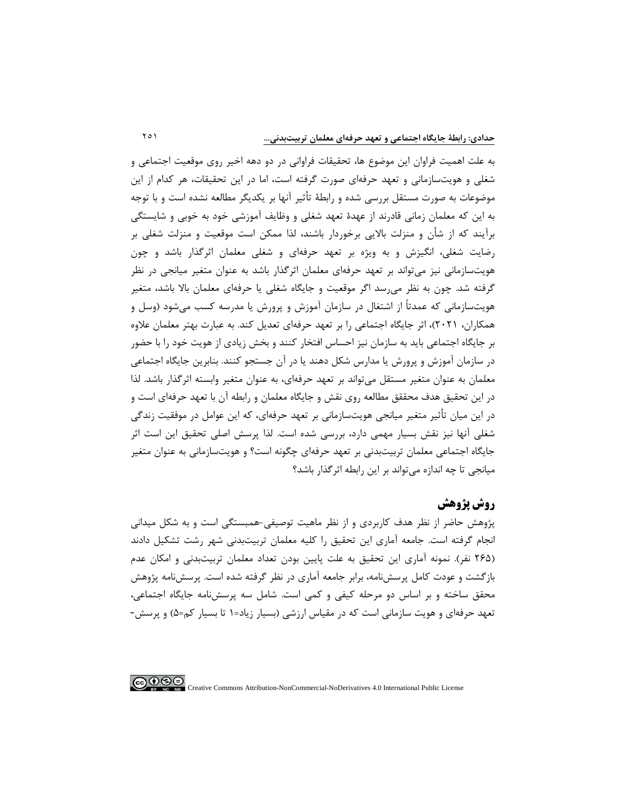به علت اهمیت فراوان این موضوع ها، تحقیقات فراوانی در دو دهه اخیر روي موقعیت اجتماعی و شغلی و هویتسازمانی و تعهد حرفهاي صورت گرفته است، اما در این تحقیقات، هر کدام از این موضوعات به صورت مستقل بررسی شده و رابطۀ تأثیر آنها بر یکدیگر مطالعه نشده است و با توجه به این که معلمان زمانی قادرند از عهدة تعهد شغلی و وظایف آموزشی خود به خوبی و شایستگی برآیند که از شأن و منزلت بالایی برخوردار باشند، لذا ممکن است موقعیت و منزلت شغلی بر رضایت شغلی، انگیزش و به ویژه بر تعهد حرفهاي و شغلی معلمان اثرگذار باشد و چون هویتسازمانی نیز میتواند بر تعهد حرفهاي معلمان اثرگذار باشد به عنوان متغیر میانجی در نظر گرفته شد. چون به نظر میرسد اگر موقعیت و جایگاه شغلی یا حرفهاي معلمان بالا باشد، متغیر هویتسازمانی که عمدتاً از اشتغال در سازمان آموزش و پرورش یا مدرسه کسب میشود (وسل و همکاران، 2021)، اثر جایگاه اجتماعی را بر تعهد حرفهاي تعدیل کند. به عبارت بهتر معلمان علاوه بر جایگاه اجتماعی باید به سازمان نیز احساس افتخار کنند و بخش زیادي از هویت خود را با حضور در سازمان آموزش و پرورش یا مدارس شکل دهند یا در آن جستجو کنند. بنابرین جایگاه اجتماعی معلمان به عنوان متغیر مستقل میتواند بر تعهد حرفهاي، به عنوان متغیر وابسته اثرگذار باشد. لذا در این تحقیق هدف محققق مطالعه روي نقش و جایگاه معلمان و رابطه آن با تعهد حرفهاي است و در این میان تأثیر متغیر میانجی هویتسازمانی بر تعهد حرفهاي، که این عوامل در موفقیت زندگی شغلی آنها نیز نقش بسیار مهمی دارد، بررسی شده است. لذا پرسش اصلی تحقیق این است اثر جایگاه اجتماعی معلمان تربیتبدنی بر تعهد حرفهاي چگونه است؟ و هویتسازمانی به عنوان متغیر میانجی تا چه اندازه میتواند بر این رابطه اثرگذار باشد؟

## **روش پژوهش**

پژوهش حاضر از نظر هدف کاربردي و از نظر ماهیت توصیفی-همبستگی است و به شکل میدانی انجام گرفته است. جامعه آماري این تحقیق را کلیه معلمان تربیتبدنی شهر رشت تشکیل دادند (265 نفر). نمونه آماري این تحقیق به علت پایین بودن تعداد معلمان تربیتبدنی و امکان عدم بازگشت و عودت کامل پرسشنامه، برابر جامعه آماري در نظر گرفته شده است. پرسشنامه پژوهش محقق ساخته و بر اساس دو مرحله کیفی و کمی است. شامل سه پرسشنامه جایگاه اجتماعی، تعهد حرفهاي و هویت سازمانی است که در مقیاس ارزشی (بسیار زیاد=1 تا بسیار کم=5) و پرسش-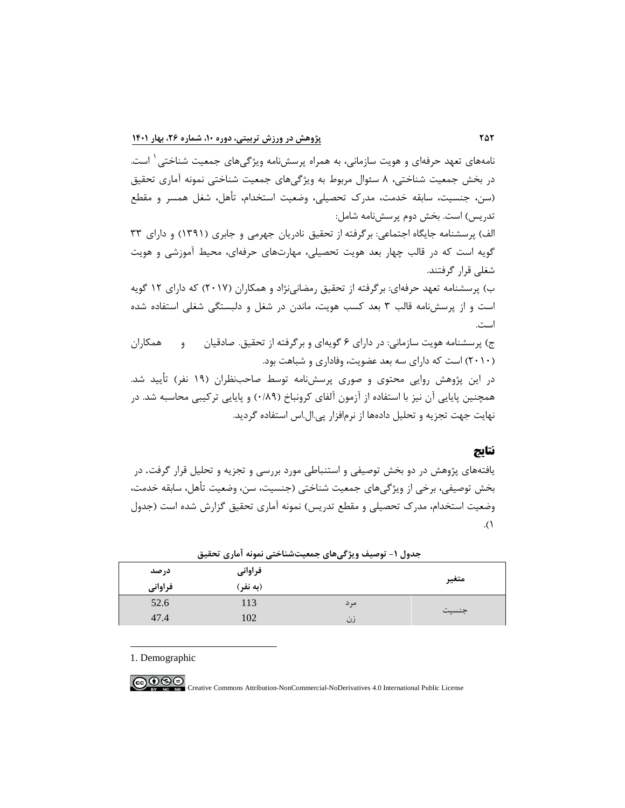نامههاي تعهد حرفهاي و هویت سازمانی، به همراه پرسشنامه ویژگیهای جمعیت شناختی <sup>۱</sup> است. در بخش جمعیت شناختی، 8 سئوال مربوط به ویژگیهاي جمعیت شناختی نمونه آماري تحقیق (سن، جنسیت، سابقه خدمت، مدرك تحصیلی، وضعیت استخدام، تأهل، شغل همسر و مقطع تدریس) است. بخش دوم پرسشنامه شامل:

الف) پرسشنامه جایگاه اجتماعی: برگرفته از تحقیق نادریان جهرمی و جابري (1391) و داراي 33 گویه است که در قالب چهار بعد هویت تحصیلی، مهارتهاي حرفهاي، محیط آموزشی و هویت شغلی قرار گرفتند.

ب) پرسشنامه تعهد حرفهاي: برگرفته از تحقیق رمضانینژاد و همکاران (2017) که داراي 12 گویه است و از پرسشنامه قالب 3 بعد کسب هویت، ماندن در شغل و دلبستگی شغلی استفاده شده است.

ج) پرسشنامه هویت سازمانی: در داراي 6 گویهاي و برگرفته از تحقیق. صادقیان و همکاران (2010) است که داراي سه بعد عضویت، وفاداري و شباهت بود.

در این پژوهش روایی محتوي و صوري پرسشنامه توسط صاحبنظران (19 نفر) تأیید شد. همچنین پایایی آن نیز با استفاده از آزمون آلفاي کرونباخ (0/89) و پایایی ترکیبی محاسبه شد. در نهایت جهت تجزیه و تحلیل دادهها از نرمافزار پی.ال.اس استفاده گردید.

## **نتایج**

یافتههاي پژوهش در دو بخش توصیفی و استنباطی مورد بررسی و تجزیه و تحلیل قرار گرفت. در بخش توصیفی، برخی از ویژگیهاي جمعیت شناختی (جنسیت، سن، وضعیت تأهل، سابقه خدمت، وضعیت استخدام، مدرك تحصیلی و مقطع تدریس) نمونه آماري تحقیق گزارش شده است (جدول .(1

|         | --<br>-- | .<br>. <del>.</del> | ---   |
|---------|----------|---------------------|-------|
| درصد    | فراواني  |                     | متغير |
| فراواني | (به نفر) |                     |       |
| 52.6    | 113      | مرد                 |       |
| 47.4    | 102      | زن                  | جنسيت |

**جدول -1 توصیف ویژگیهاي جمعیتشناختی نمونه آماري تحقیق** 

<span id="page-9-0"></span>1. Demographic

-

<u>@0\$0</u>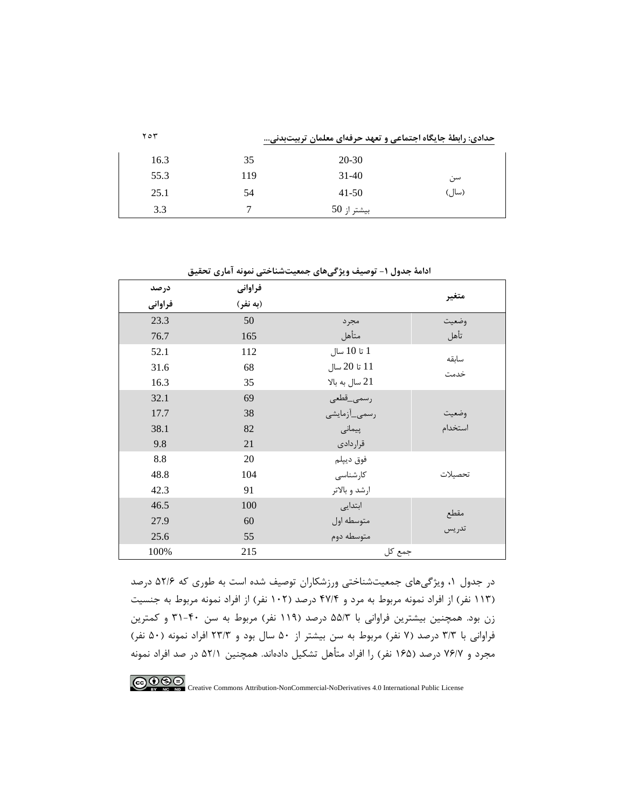| ۲۵۳  | حدادی: رابطهٔ جایگاه اجتماعی و تعهد حرفهای معلمان تربیتبدنی |             |       |
|------|-------------------------------------------------------------|-------------|-------|
| 16.3 | 35                                                          | 20-30       |       |
| 55.3 | 119                                                         | $31 - 40$   | سن    |
| 25.1 | 54                                                          | $41 - 50$   | (سال) |
| 3.3  |                                                             | بيشتر از 50 |       |

| درصد    | فراواني  |                  |               |
|---------|----------|------------------|---------------|
| فراواني | (به نفر) |                  | متغير         |
| 23.3    | 50       | مجرد             | وضعيت         |
| 76.7    | 165      | متأهل            | تأهل          |
| 52.1    | 112      | 1 تا 10 سال      |               |
| 31.6    | 68       | 11 تا 20 سال     | سابقه<br>خدمت |
| 16.3    | 35       | $21$ سال به بالا |               |
| 32.1    | 69       | رسمى_قطعى        |               |
| 17.7    | 38       | رسمى_أزمايشى     | وضعيت         |
| 38.1    | 82       | پیمانی           | استخدام       |
| 9.8     | 21       | قراردادى         |               |
| 8.8     | 20       | فوق ديپلم        |               |
| 48.8    | 104      | كارشناسى         | تحصيلات       |
| 42.3    | 91       | ارشد و بالاتر    |               |
| 46.5    | 100      | ابتدایی          |               |
| 27.9    | 60       | متوسطه اول       | مقطع<br>تدريس |
| 25.6    | 55       | متوسطه دوم       |               |
| 100%    | 215      | جمع کل           |               |

**ادامۀ جدول -1 توصیف ویژگیهاي جمعیتشناختی نمونه آماري تحقیق** 

در جدول ،1 ویژگیهاي جمعیتشناختی ورزشکاران توصیف شده است به طوري که 52/6 درصد (113 نفر) از افراد نمونه مربوط به مرد و 47/4 درصد (102 نفر) از افراد نمونه مربوط به جنسیت زن بود. همچنین بیشترین فراوانی با 55/3 درصد (119 نفر) مربوط به سن 31-40 و کمترین فراوانی با 3/3 درصد (7 نفر) مربوط به سن بیشتر از 50 سال بود و 23/3 افراد نمونه (50 نفر) مجرد و 76/7 درصد (165 نفر) را افراد متأهل تشکیل دادهاند. همچنین 52/1 در صد افراد نمونه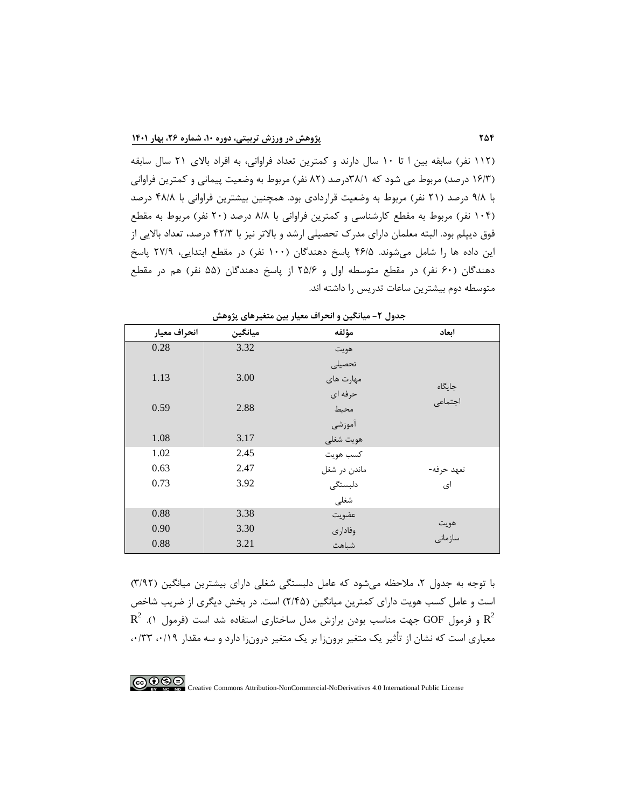(112 نفر) سابقه بین ا تا 10 سال دارند و کمترین تعداد فراوانی، به افراد بالاي 21 سال سابقه (16/3 درصد) مربوط می شود که 38/1درصد (82 نفر) مربوط به وضعیت پیمانی و کمترین فراوانی با 9/8 درصد (21 نفر) مربوط به وضعیت قراردادي بود. همچنین بیشترین فراوانی با 48/8 درصد (104 نفر) مربوط به مقطع کارشناسی و کمترین فراوانی با 8/8 درصد (20 نفر) مربوط به مقطع فوق دیپلم بود. البته معلمان داراي مدرك تحصیلی ارشد و بالاتر نیز با 42/3 درصد، تعداد بالایی از این داده ها را شامل میشوند. 46/5 پاسخ دهندگان (100 نفر) در مقطع ابتدایی، 27/9 پاسخ دهندگان (60 نفر) در مقطع متوسطه اول و 25/6 از پاسخ دهندگان (55 نفر) هم در مقطع متوسطه دوم بیشترین ساعات تدریس را داشته اند.

|              |         | ----         |            |
|--------------|---------|--------------|------------|
| انحراف معيار | ميانگين | مؤلفه        | اىعاد      |
| 0.28         | 3.32    | هويت         |            |
|              |         | تحصيلى       |            |
| 1.13         | 3.00    | مهارت های    | جايگاه     |
|              |         | حرفه ای      | اجتماعى    |
| 0.59         | 2.88    | محيط         |            |
|              |         | آموزشي       |            |
| 1.08         | 3.17    | هويت شغلى    |            |
| 1.02         | 2.45    | كسب هويت     |            |
| 0.63         | 2.47    | ماندن در شغل | تعهد حرفه- |
| 0.73         | 3.92    | دلبستگى      | ای         |
|              |         | شغلى         |            |
| 0.88         | 3.38    | عضويت        |            |
| 0.90         | 3.30    | وفادارى      | هويت       |
| 0.88         | 3.21    | شباهت        | سازمانى    |

**جدول -2 میانگین و انحراف معیار بین متغیرهاي پژوهش**

با توجه به جدول ۲، ملاحظه می شود که عامل دلبستگی شغلی دارای بیشترین میانگین (۳/۹۲) است و عامل کسب هویت داراي کمترین میانگین (2/45) است. در بخش دیگري از ضریب شاخص  $\text{R}^2$  .( فرمول GOF جهت مناسب بودن برازش مدل ساختاری استفاده شد است (فرمول ۱).  $\text{R}^2$ معیاري است که نشان از تأثیر یک متغیر برونزا بر یک متغیر درونزا دارد و سه مقدار ،0/19 ،0/33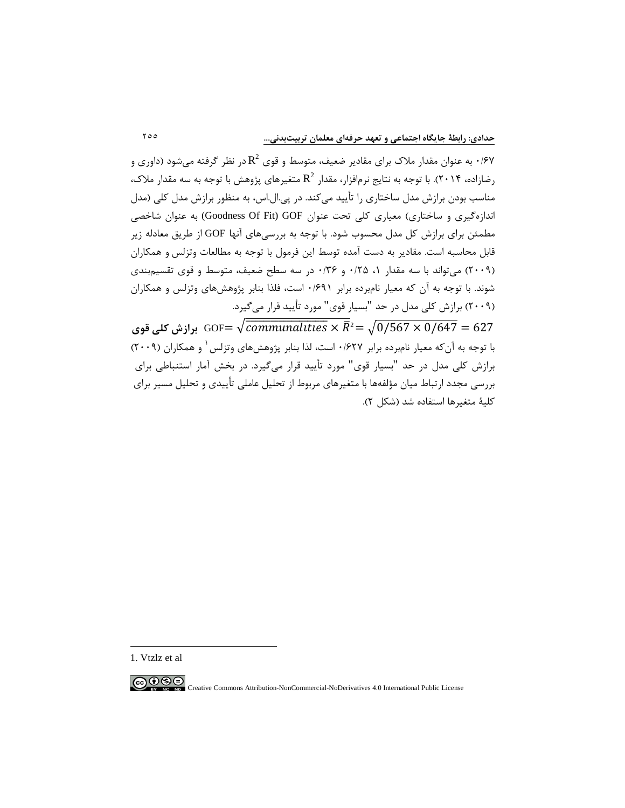در نظر گرفته میشود (داوری و 2 0/67 به عنوان مقادیر ضعیف، متوسط و قوی  $\mathrm{R}^2$  در نظر گرفته می شود (داوری و  $9/8$ ، ز تازاده، ۲۰۱۴). با توجه به نتایج نرمافزار، مقدار  $\mathrm{R}^2$  متغیرهای پژوهش با توجه به سه مقدار ملاک، مناسب بودن برازش مدل ساختاري را تأیید میکند. در پی.ال.اس، به منظور برازش مدل کلی (مدل اندازهگیري و ساختاري) معیاري کلی تحت عنوان GOF) Fit Of Goodness (به عنوان شاخصی مطمئن براي برازش کل مدل محسوب شود. با توجه به بررسیهاي آنها GOF از طریق معادله زیر قابل محاسبه است. مقادیر به دست آمده توسط این فرمول با توجه به مطالعات وتزلس و همکاران (2009) میتواند با سه مقدار ،1 0/25 و 0/36 در سه سطح ضعیف، متوسط و قوي تقسیمبندي شوند. با توجه به آن که معیار نامبرده برابر 0/691 است، فلذا بنابر پژوهشهاي وتزلس و همکاران (2009) برازش کلی مدل در حد "بسیار قوي" مورد تأیید قرار میگیرد.

627 = 0/647 × 0/567� = **برازش کلی قوي**<sup>2</sup>� × �������������������� � =GOF با توجه به آن که معیار نامبرده برابر ۱۶۲۷ است، لذا بنابر پژوهش های وتزلس <sup>۱</sup> و همکاران (۲۰۰۹) برازش کلی مدل در حد "بسیار قوي" مورد تأیید قرار میگیرد. در بخش آمار استنباطی براي بررسی مجدد ارتباط میان مؤلفهها با متغیرهاي مربوط از تحلیل عاملی تأییدي و تحلیل مسیر براي کلیۀ متغیرها استفاده شد (شکل 2).

-

<span id="page-12-0"></span>

<sup>1.</sup> Vtzlz et al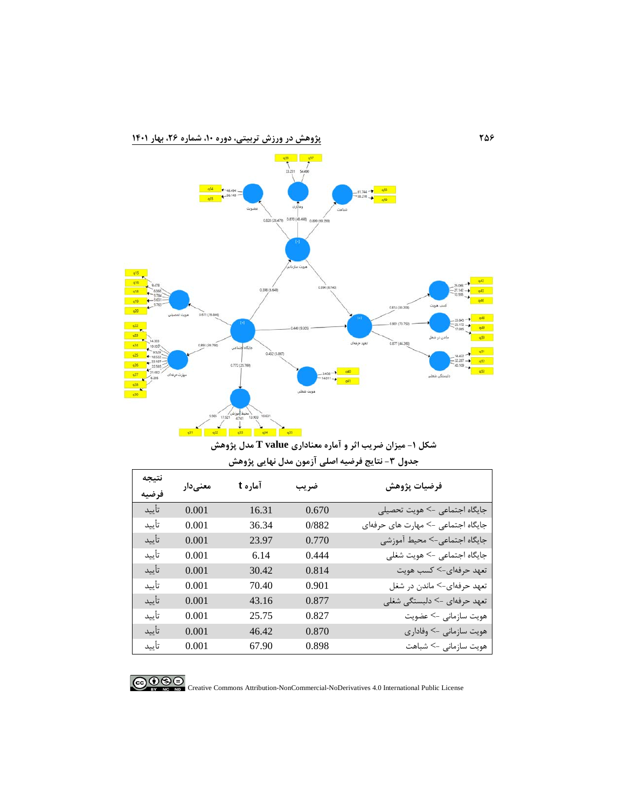



**شکل -1 میزان ضریب اثر و آماره معناداري value T مدل پژوهش جدول -3 نتایج فرضیه اصلی آزمون مدل نهایی پژوهش**

| نتيجه<br>فرضيه | معنىدار | آماره t | ضريب  | فرضيات پژوهش                       |
|----------------|---------|---------|-------|------------------------------------|
| تأييد          | 0.001   | 16.31   | 0.670 | جایگاه اجتماعی -> هویت تحصیلی      |
| تأييد          | 0.001   | 36.34   | 0/882 | جایگاه اجتماعی -> مهارت های حرفهای |
| تأييد          | 0.001   | 23.97   | 0.770 | جایگاه اجتماعی-> محیط آموزشی       |
| تأييد          | 0.001   | 6.14    | 0.444 | جایگاه اجتماعی -> هویت شغلی        |
| تأييد          | 0.001   | 30.42   | 0.814 | تعهد حرفهای-> کسب هویت             |
| تأييد          | 0.001   | 70.40   | 0.901 | تعهد حرفهاي-> ماندن در شغل         |
| تأييد          | 0.001   | 43.16   | 0.877 | تعهد حرفهای -> دلبستگی شغلی        |
| تأييد          | 0.001   | 25.75   | 0.827 | هويت سازماني –> عضويت              |
| تأييد          | 0.001   | 46.42   | 0.870 | هویت سازمانی –> وفاداری            |
| تأييد          | 0.001   | 67.90   | 0.898 | هویت سازمانی -> شباهت              |



COOCO EXTREMENTATION-NonCommercial-NoDerivatives 4.0 International Public License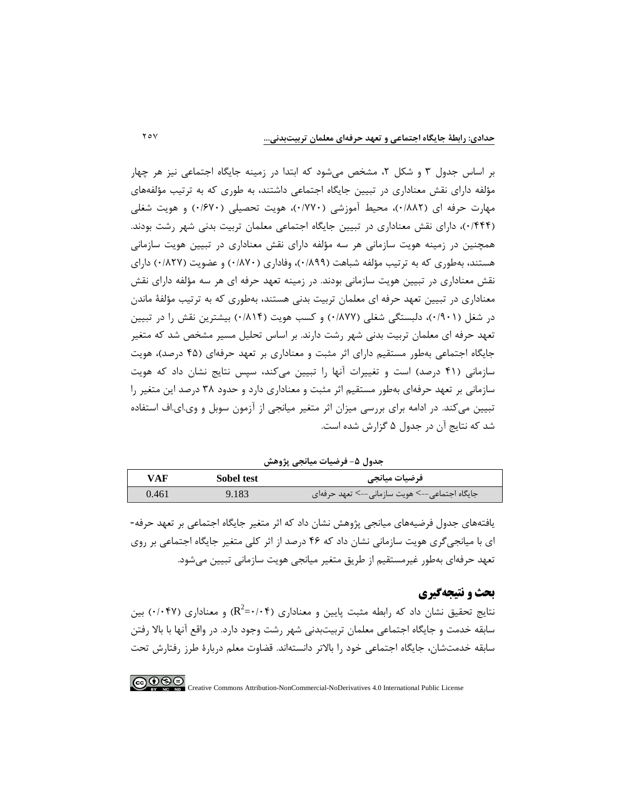بر اساس جدول 3 و شکل ،2 مشخص میشود که ابتدا در زمینه جایگاه اجتماعی نیز هر چهار مؤلفه داراي نقش معناداري در تبیین جایگاه اجتماعی داشتند، به طوري که به ترتیب مؤلفههاي مهارت حرفه اي (0/882)، محیط آموزشی (0/770)، هویت تحصیلی (0/670) و هویت شغلی (0/444)، داراي نقش معناداري در تبیین جایگاه اجتماعی معلمان تربیت بدنی شهر رشت بودند. همچنین در زمینه هویت سازمانی هر سه مؤلفه داراي نقش معناداري در تبیین هویت سازمانی هستند، بهطوري که به ترتیب مؤلفه شباهت (0/899)، وفاداري (0/870) و عضویت (0/827) داراي نقش معناداري در تبیین هویت سازمانی بودند. در زمینه تعهد حرفه اي هر سه مؤلفه داراي نقش معناداري در تبیین تعهد حرفه اي معلمان تربیت بدنی هستند، بهطوري که به ترتیب مؤلفۀ ماندن در شغل (0/901)، دلبستگی شغلی (0/877) و کسب هویت (0/814) بیشترین نقش را در تبیین تعهد حرفه اي معلمان تربیت بدنی شهر رشت دارند. بر اساس تحلیل مسیر مشخص شد که متغیر جایگاه اجتماعی بهطور مستقیم داراي اثر مثبت و معناداري بر تعهد حرفهاي (45 درصد)، هویت سازمانی (41 درصد) است و تغییرات آنها را تبیین میکند، سپس نتایج نشان داد که هویت سازمانی بر تعهد حرفهاي بهطور مستقیم اثر مثبت و معناداري دارد و حدود 38 درصد این متغیر را تبیین میکند. در ادامه براي بررسی میزان اثر متغیر میانجی از آزمون سوبل و وي.اي.اف استفاده شد که نتایج آن در جدول 5 گزارش شده است.

جدول ۵- فرضیات میانجی پژوهش

| <b>VAF</b> | Sobel test | فرضيات ميانجي                                 |
|------------|------------|-----------------------------------------------|
| 0.461      | 9.183      | جایگاه اجتماعی––> هویت سازمانی––> تعهد حرفهای |

یافتههاي جدول فرضیههاي میانجی پژوهش نشان داد که اثر متغیر جایگاه اجتماعی بر تعهد حرفه- اي با میانجیگري هویت سازمانی نشان داد که 46 درصد از اثر کلی متغیر جایگاه اجتماعی بر روي تعهد حرفهاي بهطور غیرمستقیم از طریق متغیر میانجی هویت سازمانی تبیین میشود.

## **بحث و نتیجهگیري**

نتایج تحقیق نشان داد که رابطه مثبت پایین و معناداری (R<sup>2</sup>=۰/۰۴) و معناداری (۰/۰۴۷) بین سابقه خدمت و جایگاه اجتماعی معلمان تربیتبدنی شهر رشت وجود دارد. در واقع آنها با بالا رفتن سابقه خدمتشان، جایگاه اجتماعی خود را بالاتر دانستهاند. قضاوت معلم دربارة طرز رفتارش تحت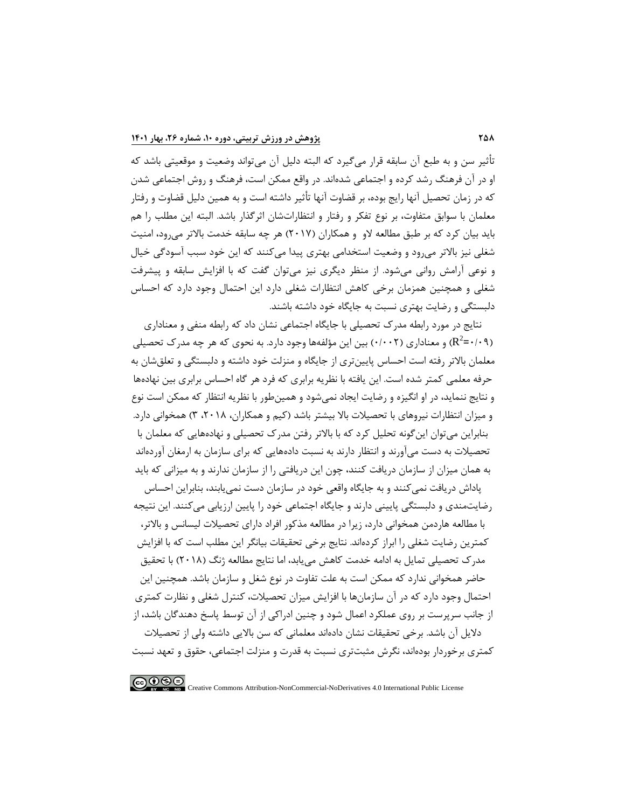تأثیر سن و به طبع آن سابقه قرار می $\xi$ یرد که البته دلیل آن می تواند وضعیت و موقعیتی باشد که او در آن فرهنگ رشد کرده و اجتماعی شدهاند. در واقع ممکن است، فرهنگ و روش اجتماعی شدن که در زمان تحصیل آنها رایج بوده، بر قضاوت آنها تأثیر داشته است و به همین دلیل قضاوت و رفتار معلمان با سوابق متفاوت، بر نوع تفکر و رفتار و انتظاراتشان اثرگذار باشد. البته این مطلب را هم باید بیان کرد که بر طبق مطالعه لاو و همکاران (2017) هر چه سابقه خدمت بالاتر میرود، امنیت شغلی نیز بالاتر میرود و وضعیت استخدامی بهتري پیدا میکنند که این خود سبب آسودگی خیال و نوعی آرامش روانی میشود. از منظر دیگري نیز میتوان گفت که با افزایش سابقه و پیشرفت شغلی و همچنین همزمان برخی کاهش انتظارات شغلی دارد این احتمال وجود دارد که احساس دلبستگی و رضایت بهتري نسبت به جایگاه خود داشته باشند.

نتایج در مورد رابطه مدرك تحصیلی با جایگاه اجتماعی نشان داد که رابطه منفی و معناداري و معناداري (۰/۰۰۲) بین این مؤلفهها وجود دارد. به نحوي که هر چه مدرک تحصیلی (۰/۹) و معناداري (۰/۰۲  $\mathbb{R}^2$ معلمان بالاتر رفته است احساس پایینتري از جایگاه و منزلت خود داشته و دلبستگی و تعلقشان به حرفه معلمی کمتر شده است. این یافته با نظریه برابري که فرد هر گاه احساس برابري بین نهادهها و نتایج ننماید، در او انگیزه و رضایت ایجاد نمیشود و همینطور با نظریه انتظار که ممکن است نوع و میزان انتظارات نیروهاي با تحصیلات بالا بیشتر باشد (کیم و همکاران، ،2018 3) همخوانی دارد. بنابراین میتوان اینگونه تحلیل کرد که با بالاتر رفتن مدرك تحصیلی و نهادههایی که معلمان با تحصیلات به دست میآورند و انتظار دارند به نسبت دادههایی که براي سازمان به ارمغان آوردهاند به همان میزان از سازمان دریافت کنند، چون این دریافتی را از سازمان ندارند و به میزانی که باید

پاداش دریافت نمیکنند و به جایگاه واقعی خود در سازمان دست نمییابند، بنابراین احساس رضایتمندي و دلبستگی پایینی دارند و جایگاه اجتماعی خود را پایین ارزیابی میکنند. این نتیجه با مطالعه هاردمن همخوانی دارد، زیرا در مطالعه مذکور افراد داراي تحصیلات لیسانس و بالاتر، کمترین رضایت شغلی را ابراز کردهاند. نتایج برخی تحقیقات بیانگر این مطلب است که با افزایش مدرك تحصیلی تمایل به ادامه خدمت کاهش مییابد، اما نتایج مطالعه ژنگ (2018) با تحقیق حاضر همخوانی ندارد که ممکن است به علت تفاوت در نوع شغل و سازمان باشد. همچنین این احتمال وجود دارد که در آن سازمانها با افزایش میزان تحصیلات، کنترل شغلی و نظارت کمتري از جانب سرپرست بر روي عملکرد اعمال شود و چنین ادراکی از آن توسط پاسخ دهندگان باشد، از دلایل آن باشد. برخی تحقیقات نشان دادهاند معلمانی که سن بالایی داشته ولی از تحصیلات

کمتري برخوردار بودهاند، نگرش مثبتتري نسبت به قدرت و منزلت اجتماعی، حقوق و تعهد نسبت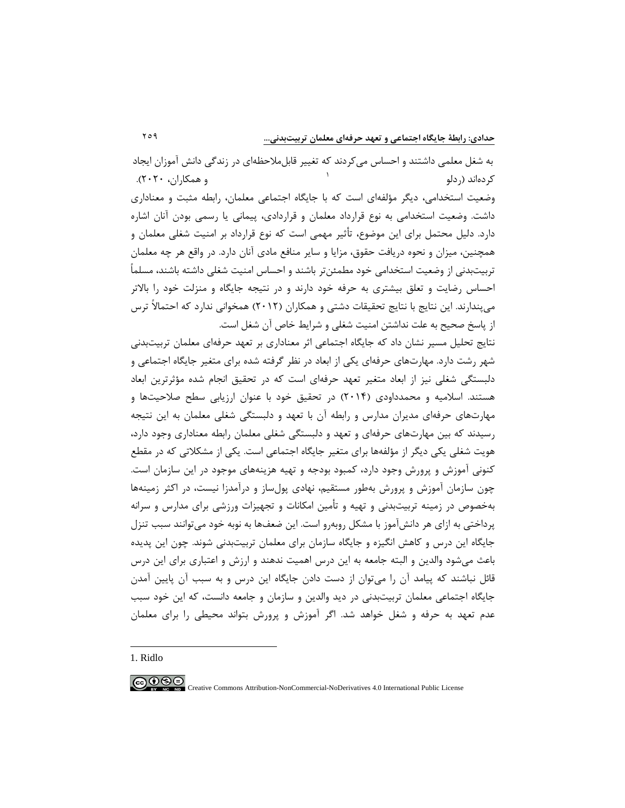به شغل معلمی داشتند و احساس میکردند که تغییر قابلملاحظهاي در زندگی دانش آموزان ایجاد و همکاران، 2020). [1](#page-16-0) کردهاند (ردلو وضعیت استخدامی، دیگر مؤلفهاي است که با جایگاه اجتماعی معلمان، رابطه مثبت و معناداري داشت. وضعیت استخدامی به نوع قرارداد معلمان و قراردادي، پیمانی یا رسمی بودن آنان اشاره دارد. دلیل محتمل براي این موضوع، تأثیر مهمی است که نوع قرارداد بر امنیت شغلی معلمان و همچنین، میزان و نحوه دریافت حقوق، مزایا و سایر منافع مادي آنان دارد. در واقع هر چه معلمان تربیتبدنی از وضعیت استخدامی خود مطمئنتر باشند و احساس امنیت شغلی داشته باشند، مسلماً احساس رضایت و تعلق بیشتري به حرفه خود دارند و در نتیجه جایگاه و منزلت خود را بالاتر میپندارند. این نتایج با نتایج تحقیقات دشتی و همکاران (2012) همخوانی ندارد که احتمالاً ترس از پاسخ صحیح به علت نداشتن امنیت شغلی و شرایط خاص آن شغل است.

نتایج تحلیل مسیر نشان داد که جایگاه اجتماعی اثر معناداري بر تعهد حرفهاي معلمان تربیتبدنی شهر رشت دارد. مهارتهاي حرفهاي یکی از ابعاد در نظر گرفته شده براي متغیر جایگاه اجتماعی و دلبستگی شغلی نیز از ابعاد متغیر تعهد حرفهاي است که در تحقیق انجام شده مؤثرترین ابعاد هستند. اسلامیه و محمدداودي (2014) در تحقیق خود با عنوان ارزیابی سطح صلاحیتها و مهارتهاي حرفهاي مدیران مدارس و رابطه آن با تعهد و دلبستگی شغلی معلمان به این نتیجه رسیدند که بین مهارتهاي حرفهاي و تعهد و دلبستگی شغلی معلمان رابطه معناداري وجود دارد، هویت شغلی یکی دیگر از مؤلفهها براي متغیر جایگاه اجتماعی است. یکی از مشکلاتی که در مقطع کنونی آموزش و پرورش وجود دارد، کمبود بودجه و تهیه هزینههاي موجود در این سازمان است. چون سازمان آموزش و پرورش بهطور مستقیم، نهادي پولساز و درآمدزا نیست، در اکثر زمینهها بهخصوص در زمینه تربیتبدنی و تهیه و تأمین امکانات و تجهیزات ورزشی براي مدارس و سرانه پرداختی به ازاي هر دانشآموز با مشکل روبهرو است. این ضعفها به نوبه خود میتوانند سبب تنزل جایگاه این درس و کاهش انگیزه و جایگاه سازمان براي معلمان تربیتبدنی شوند. چون این پدیده باعث میشود والدین و البته جامعه به این درس اهمیت ندهند و ارزش و اعتباري براي این درس قائل نباشند که پیامد آن را میتوان از دست دادن جایگاه این درس و به سبب آن پایین آمدن جایگاه اجتماعی معلمان تربیتبدنی در دید والدین و سازمان و جامعه دانست، که این خود سبب عدم تعهد به حرفه و شغل خواهد شد. اگر آموزش و پرورش بتواند محیطی را براي معلمان

<span id="page-16-0"></span>1. Ridlo

-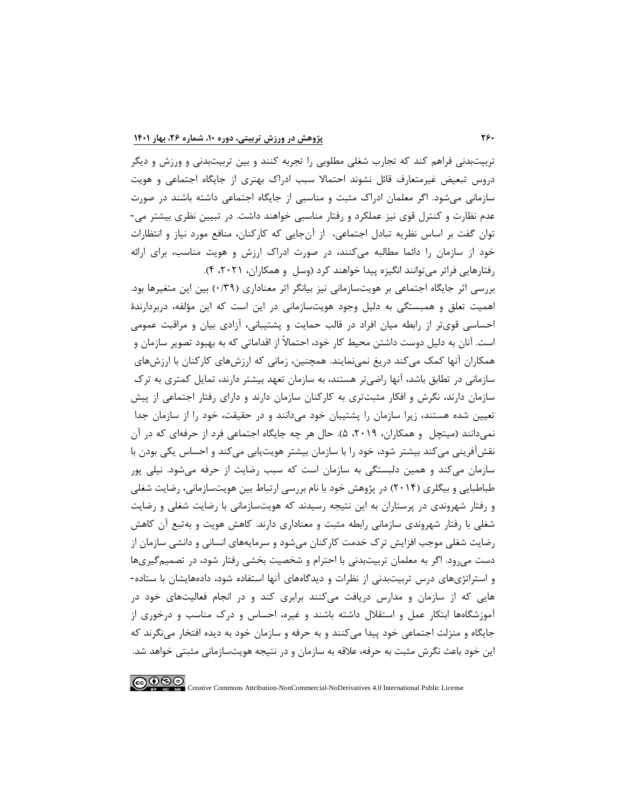تربیتبدنی فراهم کند که تجارب شغلی مطلوبی را تجربه کنند و بین تربیتبدنی و ورزش و دیگر دروس تبعیض غیرمتعارف قائل نشوند احتمالا سبب ادراك بهتري از جایگاه اجتماعی و هویت سازمانی میشود. اگر معلمان ادراك مثبت و مناسبی از جایگاه اجتماعی داشته باشند در صورت عدم نظارت و کنترل قوي نیز عملکرد و رفتار مناسبی خواهند داشت. در تبیین نظري بیشتر می- توان گفت بر اساس نظریه تبادل اجتماعی، از آنجایی که کارکنان، منافع مورد نیاز و انتظارات خود از سازمان را دائما مطالبه میکنند، در صورت ادراك ارزش و هویت مناسب، براي ارائه رفتارهایی فراتر میتوانند انگیزه پیدا خواهند کرد (وسل و همکاران، ،2021 4).

بررسی اثر جایگاه اجتماعی بر هویتسازمانی نیز بیانگر اثر معناداري (0/39) بین این متغیرها بود. اهمیت تعلق و همبستگی به دلیل وجود هویتسازمانی در این است که این مؤلفه، دربردارندة احساسی قويتر از رابطه میان افراد در قالب حمایت و پشتیبانی، آزادي بیان و مراقبت عمومی است. آنان به دلیل دوست داشتن محیط کار خود، احتمالاً از اقداماتی که به بهبود تصویر سازمان و همکاران آنها کمک میکند دریغ نمینمایند. همچنین، زمانی که ارزشهاي کارکنان با ارزشهاي سازمانی در تطابق باشد، آنها راضیتر هستند، به سازمان تعهد بیشتر دارند، تمایل کمتري به ترك سازمان دارند، نگرش و افکار مثبتتري به کارکنان سازمان دارند و داراي رفتار اجتماعی از پیش تعیین شده هستند، زیرا سازمان را پشتیبان خود میدانند و در حقیقت، خود را از سازمان جدا نمیدانند (میتچل و همکاران، ۲۰۱۹، ۵). حال هر چه جایگاه اجتماعی فرد از حرفهای که در آن نقشآفرینی میکند بیشتر شود، خود را با سازمان بیشتر هویتیابی میکند و احساس یکی بودن با سازمان میکند و همین دلبستگی به سازمان است که سبب رضایت از حرفه میشود. نیلی پور طباطبایی و بیگلري (2014) در پژوهش خود با نام بررسی ارتباط بین هویتسازمانی، رضایت شغلی و رفتار شهروندي در پرستاران به این نتیجه رسیدند که هویتسازمانی با رضایت شغلی و رضایت شغلی با رفتار شهروندي سازمانی رابطه مثبت و معناداري دارند. کاهش هویت و بهتبع آن کاهش رضایت شغلی موجب افزایش ترك خدمت کارکنان میشود و سرمایههاي انسانی و دانشی سازمان از دست میرود. اگر به معلمان تربیتبدنی با احترام و شخصیت بخشی رفتار شود، در تصمیمگیريها و استراتژيهاي درس تربیتبدنی از نظرات و دیدگاههاي آنها استفاده شود، دادههایشان با ستاده- هایی که از سازمان و مدارس دریافت میکنند برابري کند و در انجام فعالیتهاي خود در آموزشگاهها ابتکار عمل و استقلال داشته باشند و غیره، احساس و درك مناسب و درخوري از جایگاه و منزلت اجتماعی خود پیدا میکنند و به حرفه و سازمان خود به دیده افتخار مینگرند که این خود باعث نگرش مثبت به حرفه، علاقه به سازمان و در نتیجه هویتسازمانی مثبتی خواهد شد.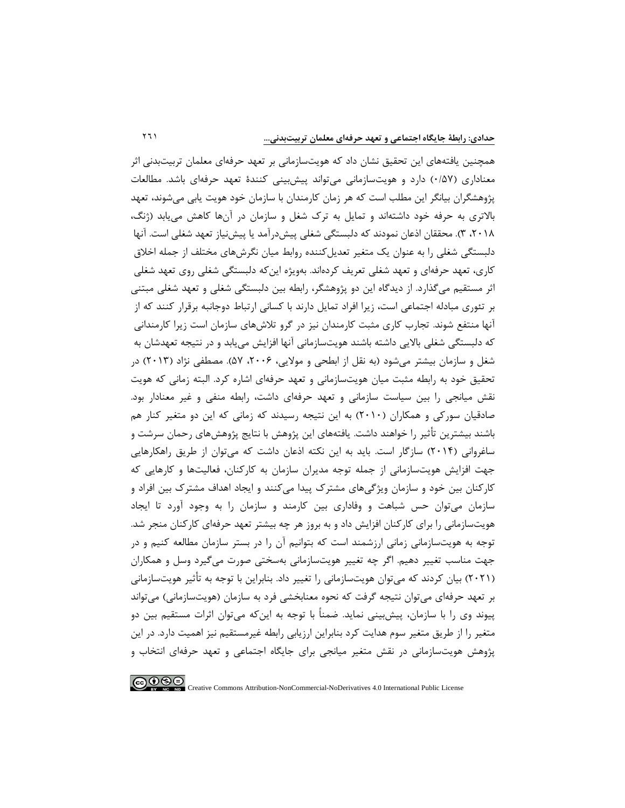همچنین یافتههاي این تحقیق نشان داد که هویتسازمانی بر تعهد حرفهاي معلمان تربیتبدنی اثر معناداري (0/57) دارد و هویتسازمانی میتواند پیشبینی کنندة تعهد حرفهاي باشد. مطالعات پژوهشگران بیانگر این مطلب است که هر زمان کارمندان با سازمان خود هویت یابی میشوند، تعهد بالاتري به حرفه خود داشتهاند و تمایل به ترك شغل و سازمان در آنها کاهش مییابد (ژنگ، ،2018 3). محققان اذعان نمودند که دلبستگی شغلی پیشدرآمد یا پیشنیاز تعهد شغلی است. آنها دلبستگی شغلی را به عنوان یک متغیر تعدیلکننده روابط میان نگرشهاي مختلف از جمله اخلاق کاري، تعهد حرفهاي و تعهد شغلی تعریف کردهاند. بهویژه اینکه دلبستگی شغلی روي تعهد شغلی اثر مستقیم میگذارد. از دیدگاه این دو پژوهشگر، رابطه بین دلبستگی شغلی و تعهد شغلی مبتنی بر تئوري مبادله اجتماعی است، زیرا افراد تمایل دارند با کسانی ارتباط دوجانبه برقرار کنند که از آنها منتفع شوند. تجارب کاري مثبت کارمندان نیز در گرو تلاشهاي سازمان است زیرا کارمندانی که دلبستگی شغلی بالایی داشته باشند هویتسازمانی آنها افزایش مییابد و در نتیجه تعهدشان به شغل و سازمان بیشتر میشود (به نقل از ابطحی و مولایی، ۲۰۰۶، ۵۷). مصطفی نژاد (۲۰۱۳) در تحقیق خود به رابطه مثبت میان هویتسازمانی و تعهد حرفهاي اشاره کرد. البته زمانی که هویت نقش میانجی را بین سیاست سازمانی و تعهد حرفهاي داشت، رابطه منفی و غیر معنادار بود. صادقیان سورکی و همکاران (2010) به این نتیجه رسیدند که زمانی که این دو متغیر کنار هم باشند بیشترین تأثیر را خواهند داشت. یافتههاي این پژوهش با نتایج پژوهشهاي رحمان سرشت و ساغروانی (2014) سازگار است. باید به این نکته اذعان داشت که میتوان از طریق راهکارهایی جهت افزایش هویتسازمانی از جمله توجه مدیران سازمان به کارکنان، فعالیتها و کارهایی که کارکنان بین خود و سازمان ویژگیهاي مشترك پیدا میکنند و ایجاد اهداف مشترك بین افراد و سازمان میتوان حس شباهت و وفاداري بین کارمند و سازمان را به وجود آورد تا ایجاد هویتسازمانی را براي کارکنان افزایش داد و به بروز هر چه بیشتر تعهد حرفهاي کارکنان منجر شد. توجه به هویتسازمانی زمانی ارزشمند است که بتوانیم آن را در بستر سازمان مطالعه کنیم و در جهت مناسب تغییر دهیم. اگر چه تغییر هویتسازمانی بهسختی صورت میگیرد وسل و همکاران (2021) بیان کردند که میتوان هویتسازمانی را تغییر داد. بنابراین با توجه به تأثیر هویتسازمانی بر تعهد حرفهاي میتوان نتیجه گرفت که نحوه معنابخشی فرد به سازمان (هویتسازمانی) میتواند پیوند وي را با سازمان، پیشبینی نماید. ضمناً با توجه به اینکه میتوان اثرات مستقیم بین دو متغیر را از طریق متغیر سوم هدایت کرد بنابراین ارزیابی رابطه غیرمستقیم نیز اهمیت دارد. در این پژوهش هویتسازمانی در نقش متغیر میانجی براي جایگاه اجتماعی و تعهد حرفهاي انتخاب و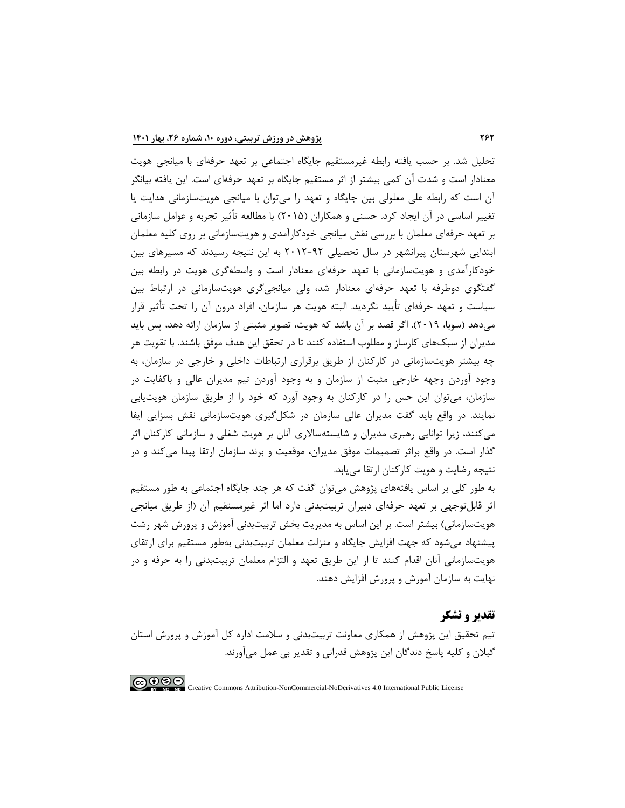تحلیل شد. بر حسب یافته رابطه غیرمستقیم جایگاه اجتماعی بر تعهد حرفهاي با میانجی هویت معنادار است و شدت آن کمی بیشتر از اثر مستقیم جایگاه بر تعهد حرفهاي است. این یافته بیانگر آن است که رابطه علی معلولی بین جایگاه و تعهد را میتوان با میانجی هویتسازمانی هدایت یا تغییر اساسی در آن ایجاد کرد. حسنی و همکاران (2015) با مطالعه تأثیر تجربه و عوامل سازمانی بر تعهد حرفهاي معلمان با بررسی نقش میانجی خودکارآمدي و هویتسازمانی بر روي کلیه معلمان ابتدایی شهرستان پیرانشهر در سال تحصیلی 2012-92 به این نتیجه رسیدند که مسیرهاي بین خودکارآمدي و هویتسازمانی با تعهد حرفهاي معنادار است و واسطهگري هویت در رابطه بین گفتگوي دوطرفه با تعهد حرفهاي معنادار شد، ولی میانجیگري هویتسازمانی در ارتباط بین سیاست و تعهد حرفهاي تأیید نگردید. البته هویت هر سازمان، افراد درون آن را تحت تأثیر قرار میدهد (سوبا، 2019). اگر قصد بر آن باشد که هویت، تصویر مثبتی از سازمان ارائه دهد، پس باید مدیران از سبکهاي کارساز و مطلوب استفاده کنند تا در تحقق این هدف موفق باشند. با تقویت هر چه بیشتر هویتسازمانی در کارکنان از طریق برقراري ارتباطات داخلی و خارجی در سازمان، به وجود آوردن وجهه خارجی مثبت از سازمان و به وجود آوردن تیم مدیران عالی و باکفایت در سازمان، میتوان این حس را در کارکنان به وجود آورد که خود را از طریق سازمان هویتیابی نمایند. در واقع باید گفت مدیران عالی سازمان در شکلگیري هویتسازمانی نقش بسزایی ایفا میکنند، زیرا توانایی رهبري مدیران و شایستهسالاري آنان بر هویت شغلی و سازمانی کارکنان اثر گذار است. در واقع براثر تصمیمات موفق مدیران، موقعیت و برند سازمان ارتقا پیدا میکند و در نتیجه رضایت و هویت کارکنان ارتقا مییابد.

به طور کلی بر اساس یافتههاي پژوهش میتوان گفت که هر چند جایگاه اجتماعی به طور مستقیم اثر قابلتوجهی بر تعهد حرفهاي دبیران تربیتبدنی دارد اما اثر غیرمستقیم آن (از طریق میانجی هویتسازمانی) بیشتر است. بر این اساس به مدیریت بخش تربیتبدنی آموزش و پرورش شهر رشت پیشنهاد میشود که جهت افزایش جایگاه و منزلت معلمان تربیتبدنی بهطور مستقیم براي ارتقاي هویتسازمانی آنان اقدام کنند تا از این طریق تعهد و التزام معلمان تربیتبدنی را به حرفه و در نهایت به سازمان آموزش و پرورش افزایش دهند.

## **تقدیر و تشکر**

تیم تحقیق این پژوهش از همکاري معاونت تربیتبدنی و سلامت اداره کل آموزش و پرورش استان گیلان و کلیه پاسخ دندگان این پژوهش قدرانی و تقدیر بی عمل میآورند.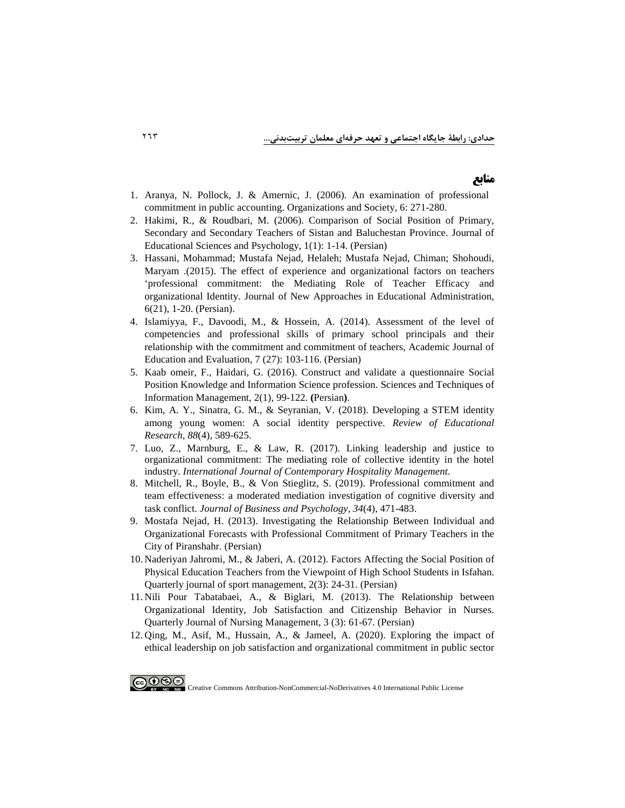## **منابع**

- 1. [Aranya, N. Pollock, J. & Amernic, J. \(2006\). An examination of professional](https://www.sciencedirect.com/science/article/abs/pii/0361368281900076) [commitment in public accounting.](https://www.sciencedirect.com/science/article/abs/pii/0361368281900076) Organizations and Society, 6: 271-280.
- 2. [Hakimi, R., & Roudbari, M. \(2006\). Comparison of Social Position of Primary,](https://jeps.usb.ac.ir/article_771_8c9600706482f08c03ceee324c7939fd.pdf)  [Secondary and Secondary Teachers of Sistan and Baluchestan Province. Journal of](https://jeps.usb.ac.ir/article_771_8c9600706482f08c03ceee324c7939fd.pdf)  [Educational Sciences and Psychology, 1\(1\): 1-14. \(Persian\)](https://jeps.usb.ac.ir/article_771_8c9600706482f08c03ceee324c7939fd.pdf)
- 3. [Hassani, Mohammad; Mustafa Nejad, Helaleh; Mustafa Nejad, Chiman; Shohoudi,](http://jedu.marvdasht.iau.ir/article_796_bc28cce392b3f32429b3f97cc419697d.pdf)  [Maryam .\(2015\). The effect of experience and organizational factors on teachers](http://jedu.marvdasht.iau.ir/article_796_bc28cce392b3f32429b3f97cc419697d.pdf)  ['professional commitment: the Mediating Role of Teacher Efficacy and](http://jedu.marvdasht.iau.ir/article_796_bc28cce392b3f32429b3f97cc419697d.pdf)  [organizational Identity. Journal of New Approaches in Educational Administration,](http://jedu.marvdasht.iau.ir/article_796_bc28cce392b3f32429b3f97cc419697d.pdf)  [6\(21\), 1-20. \(Persian\).](http://jedu.marvdasht.iau.ir/article_796_bc28cce392b3f32429b3f97cc419697d.pdf)
- 4. [Islamiyya, F., Davoodi, M., & Hossein, A. \(2014\). Assessment of the level of](http://ensani.ir/file/download/article/20170301060235-10100-175.pdf)  [competencies and professional skills of primary school principals and their](http://ensani.ir/file/download/article/20170301060235-10100-175.pdf)  [relationship with the commitment and commitment of teachers, Academic Journal of](http://ensani.ir/file/download/article/20170301060235-10100-175.pdf)  [Education and Evaluation, 7 \(27\): 103-116. \(Persian\)](http://ensani.ir/file/download/article/20170301060235-10100-175.pdf)
- 5. [Kaab omeir, F., Haidari, G. \(2016\). Construct and validate a questionnaire Social](https://stim.qom.ac.ir/article_658_57fe6574e370b6f165fabbf5b48df51c.pdf)  [Position Knowledge and Information Science profession. Sciences and Techniques of](https://stim.qom.ac.ir/article_658_57fe6574e370b6f165fabbf5b48df51c.pdf)  [Information Management, 2\(1\), 99-122.](https://stim.qom.ac.ir/article_658_57fe6574e370b6f165fabbf5b48df51c.pdf) **(**Persian**)**.
- 6. [Kim, A. Y., Sinatra, G. M., & Seyranian, V. \(2018\). Developing a STEM identity](https://www.researchgate.net/profile/Viviane-Seyranian/publication/325574599_Developing_a_STEM_Identity_Among_Young_Women_A_Social_Identity_Perspective/links/5b2089e1458515270fc59685/Developing-a-STEM-Identity-Among-Young-Women-A-Social-Identity-Perspective.pdf)  [among young women: A social identity perspective.](https://www.researchgate.net/profile/Viviane-Seyranian/publication/325574599_Developing_a_STEM_Identity_Among_Young_Women_A_Social_Identity_Perspective/links/5b2089e1458515270fc59685/Developing-a-STEM-Identity-Among-Young-Women-A-Social-Identity-Perspective.pdf) *Review of Educational Research*, *88*[\(4\), 589-625.](https://www.researchgate.net/profile/Viviane-Seyranian/publication/325574599_Developing_a_STEM_Identity_Among_Young_Women_A_Social_Identity_Perspective/links/5b2089e1458515270fc59685/Developing-a-STEM-Identity-Among-Young-Women-A-Social-Identity-Perspective.pdf)
- 7. [Luo, Z., Marnburg, E., & Law, R. \(2017\). Linking leadership and justice to](https://www.emerald.com/insight/content/doi/10.1108/IJCHM-08-2015-0423/full/html)  [organizational commitment: The mediating role of collective identity in the hotel](https://www.emerald.com/insight/content/doi/10.1108/IJCHM-08-2015-0423/full/html)  industry. *[International Journal of Contemporary Hospitality Management](https://www.emerald.com/insight/content/doi/10.1108/IJCHM-08-2015-0423/full/html)*.
- 8. Mitchell, R., Boyle, B., & [Von Stieglitz, S. \(2019\). Professional commitment and](https://link.springer.com/article/10.1007/s10869-018-9550-0)  [team effectiveness: a moderated mediation investigation of cognitive diversity and](https://link.springer.com/article/10.1007/s10869-018-9550-0)  task conflict. *[Journal of Business and Psychology](https://link.springer.com/article/10.1007/s10869-018-9550-0)*, *34*(4), 471-483.
- 9. [Mostafa Nejad, H. \(2013\). Investigating the Relationship Between Individual and](https://ganj.irandoc.ac.ir/#/articles/a7c9015ac1efa38cd29841b385a049e9)  [Organizational Forecasts with Professional Commitment of Primary Teachers in the](https://ganj.irandoc.ac.ir/#/articles/a7c9015ac1efa38cd29841b385a049e9)  [City of Piranshahr. \(Persian\)](https://ganj.irandoc.ac.ir/#/articles/a7c9015ac1efa38cd29841b385a049e9)
- 10. [Naderiyan Jahromi, M., & Jaberi, A. \(2012\). Factors Affecting the Social Position of](http://ensani.ir/file/download/article/20160717145812-10039-28.pdf)  [Physical Education Teachers from the Viewpoint of High School Students in Isfahan.](http://ensani.ir/file/download/article/20160717145812-10039-28.pdf) [Quarterly journal of sport management, 2\(3\): 24-31. \(Persian\)](http://ensani.ir/file/download/article/20160717145812-10039-28.pdf)
- 11. [Nili Pour Tabatabaei, A., & Biglari, M. \(2013\). The Relationship between](http://ijnv.ir/article-1-125-fa.pdf)  [Organizational Identity, Job Satisfaction and Citizenship Behavior in Nurses.](http://ijnv.ir/article-1-125-fa.pdf)  Quarterly Journal of [Nursing Management, 3 \(3\): 61-67. \(Persian\)](http://ijnv.ir/article-1-125-fa.pdf)
- 12. [Qing, M., Asif, M., Hussain, A., & Jameel, A. \(2020\). Exploring the impact of](https://www.researchgate.net/profile/Muhammad-Asif-49/publication/332099313_Exploring_the_impact_of_ethical_leadership_on_job_satisfaction_and_organizational_commitment_in_public_sector_organizations_the_mediating_role_of_psychological_empowerment/links/5ca72ead4585157bd3235d55/Exploring-the-impact-of-ethical-leadership-on-job-satisfaction-and-organizational-commitment-in-public-sector-organizations-the-mediating-role-of-psychological-empowerment.pdf)  [ethical leadership on job satisfaction and organizational commitment in public sector](https://www.researchgate.net/profile/Muhammad-Asif-49/publication/332099313_Exploring_the_impact_of_ethical_leadership_on_job_satisfaction_and_organizational_commitment_in_public_sector_organizations_the_mediating_role_of_psychological_empowerment/links/5ca72ead4585157bd3235d55/Exploring-the-impact-of-ethical-leadership-on-job-satisfaction-and-organizational-commitment-in-public-sector-organizations-the-mediating-role-of-psychological-empowerment.pdf)

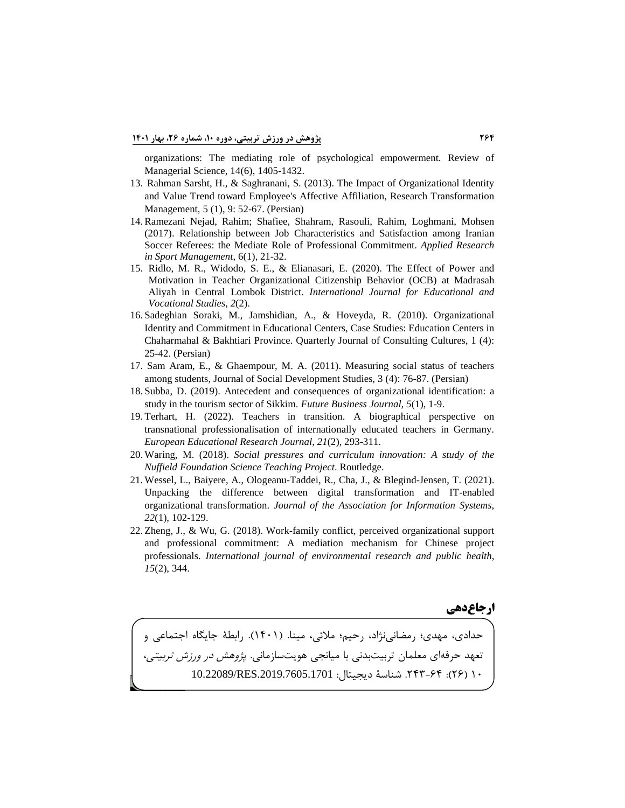[organizations: The mediating role of psychological empowerment. Review of](https://www.researchgate.net/profile/Muhammad-Asif-49/publication/332099313_Exploring_the_impact_of_ethical_leadership_on_job_satisfaction_and_organizational_commitment_in_public_sector_organizations_the_mediating_role_of_psychological_empowerment/links/5ca72ead4585157bd3235d55/Exploring-the-impact-of-ethical-leadership-on-job-satisfaction-and-organizational-commitment-in-public-sector-organizations-the-mediating-role-of-psychological-empowerment.pdf)  [Managerial Science, 14\(6\), 1405-1432.](https://www.researchgate.net/profile/Muhammad-Asif-49/publication/332099313_Exploring_the_impact_of_ethical_leadership_on_job_satisfaction_and_organizational_commitment_in_public_sector_organizations_the_mediating_role_of_psychological_empowerment/links/5ca72ead4585157bd3235d55/Exploring-the-impact-of-ethical-leadership-on-job-satisfaction-and-organizational-commitment-in-public-sector-organizations-the-mediating-role-of-psychological-empowerment.pdf)

- 13. [Rahman Sarsht, H., & Saghranani, S. \(2013\). The Impact of Organizational Identity](https://tmj.um.ac.ir/article_26533_34aeb9b0a9f6d68de13cc2ffe33cfdf7.pdf)  [and Value Trend toward Employee's Affective Affiliation, Research Transformation](https://tmj.um.ac.ir/article_26533_34aeb9b0a9f6d68de13cc2ffe33cfdf7.pdf)  [Management, 5 \(1\), 9: 52-67. \(Persian\)](https://tmj.um.ac.ir/article_26533_34aeb9b0a9f6d68de13cc2ffe33cfdf7.pdf)
- [14.Ramezani Nejad, Rahim; Shafiee, Shahram, Rasouli, Rahim, Loghmani, Mohsen](https://arsmb.journals.pnu.ac.ir/article_3953_5aab1f22cfc919aa7be6537b0944170c.pdf)  [\(2017\). Relationship between Job Characteristics and Satisfaction among Iranian](https://arsmb.journals.pnu.ac.ir/article_3953_5aab1f22cfc919aa7be6537b0944170c.pdf)  [Soccer Referees: the Mediate Role of Professional Commitment.](https://arsmb.journals.pnu.ac.ir/article_3953_5aab1f22cfc919aa7be6537b0944170c.pdf) *Applied Research [in Sport Management](https://arsmb.journals.pnu.ac.ir/article_3953_5aab1f22cfc919aa7be6537b0944170c.pdf)*, 6(1), 21-32.
- 15. [Ridlo, M. R., Widodo, S. E., & Elianasari, E. \(2020\). The Effect of Power and](https://ojs.unimal.ac.id/index.php/ijevs/article/view/2325)  [Motivation in Teacher Organizational Citizenship Behavior \(OCB\) at Madrasah](https://ojs.unimal.ac.id/index.php/ijevs/article/view/2325)  Aliyah in Central Lombok District. *[International Journal for Educational and](https://ojs.unimal.ac.id/index.php/ijevs/article/view/2325)  [Vocational Studies](https://ojs.unimal.ac.id/index.php/ijevs/article/view/2325)*, *2*(2).
- 16. [Sadeghian Soraki, M., Jamshidian, A., & Hoveyda, R. \(2010\). Organizational](https://qccpc.atu.ac.ir/article_5893_40a097c301606ad7cdebc06731301b52.pdf)  [Identity and Commitment in Educational Centers, Case Studies: Education Centers in](https://qccpc.atu.ac.ir/article_5893_40a097c301606ad7cdebc06731301b52.pdf)  [Chaharmahal & Bakhtiari Province. Quarterly Journal of Consulting Cultures, 1 \(4\):](https://qccpc.atu.ac.ir/article_5893_40a097c301606ad7cdebc06731301b52.pdf)  [25-42. \(Persian\)](https://qccpc.atu.ac.ir/article_5893_40a097c301606ad7cdebc06731301b52.pdf)
- 17. [Sam Aram, E., & Ghaempour, M. A. \(2011\). Measuring social status of teachers](https://jisds.srbiau.ac.ir/article_1909_f02b0232119151951159cfc647bf4a1e.pdf)  [among students, Journal of Social Development Studies, 3 \(4\): 76-87. \(Persian\)](https://jisds.srbiau.ac.ir/article_1909_f02b0232119151951159cfc647bf4a1e.pdf)
- 18. [Subba, D. \(2019\). Antecedent and consequences of organizational identification: a](https://link.springer.com/article/10.1186/s43093-019-0005-5)  [study in the tourism sector of Sikkim.](https://link.springer.com/article/10.1186/s43093-019-0005-5) *Future Business Journal*, *5*(1), 1-9.
- 19. [Terhart, H. \(2022\). Teachers in transition. A biographical perspective on](https://journals.sagepub.com/doi/abs/10.1177/14749041211010997)  [transnational professionalisation of internationally educated teachers in Germany.](https://journals.sagepub.com/doi/abs/10.1177/14749041211010997)  *[European Educational Research Journal](https://journals.sagepub.com/doi/abs/10.1177/14749041211010997)*, *21*(2), 293-311.
- 20. Waring, M. (2018). *[Social pressures and curriculum innovation: A study of the](https://www.taylorfrancis.com/books/mono/10.4324/9780429453922/social-pressures-curriculum-innovation-mary-waring)  [Nuffield Foundation Science Teaching Project](https://www.taylorfrancis.com/books/mono/10.4324/9780429453922/social-pressures-curriculum-innovation-mary-waring)*. Routledge.
- 21. [Wessel, L., Baiyere, A., Ologeanu-Taddei, R., Cha, J., & Blegind-Jensen, T. \(2021\).](https://westminsterresearch.westminster.ac.uk/item/qyv8v/unpacking-the-difference-between-digital-transformation-and-it-enabled-organizational-transformation)  [Unpacking the difference between digital transformation and IT-enabled](https://westminsterresearch.westminster.ac.uk/item/qyv8v/unpacking-the-difference-between-digital-transformation-and-it-enabled-organizational-transformation)  organizational transformation. *[Journal of the Association for Information Systems](https://westminsterresearch.westminster.ac.uk/item/qyv8v/unpacking-the-difference-between-digital-transformation-and-it-enabled-organizational-transformation)*, *22*[\(1\), 102-129.](https://westminsterresearch.westminster.ac.uk/item/qyv8v/unpacking-the-difference-between-digital-transformation-and-it-enabled-organizational-transformation)
- 22. [Zheng, J., & Wu, G. \(2018\). Work-family conflict, perceived organizational support](https://www.mdpi.com/1660-4601/15/2/344/pdf)  [and professional commitment: A mediation mechanism for Chinese project](https://www.mdpi.com/1660-4601/15/2/344/pdf)  professionals. *[International journal of environmental research and public health](https://www.mdpi.com/1660-4601/15/2/344/pdf)*, *15*[\(2\), 344.](https://www.mdpi.com/1660-4601/15/2/344/pdf)

**ارجاعدهی**

1. حدادي، مهدي؛ رمضانینژاد، رحیم؛ ملائی، مینا. (1401). رابطۀ جایگاه اجتماعی و 2. تعهد حرفهاي معلمان تربیتبدنی با میانجی هویتسازمانی. پژوهش در ورزش تربیتی، ١٠ (٢۶): ٢۴٣-٢٣. شناسۀ دیجیتال: 10.22089/RES.2019.7605.1701